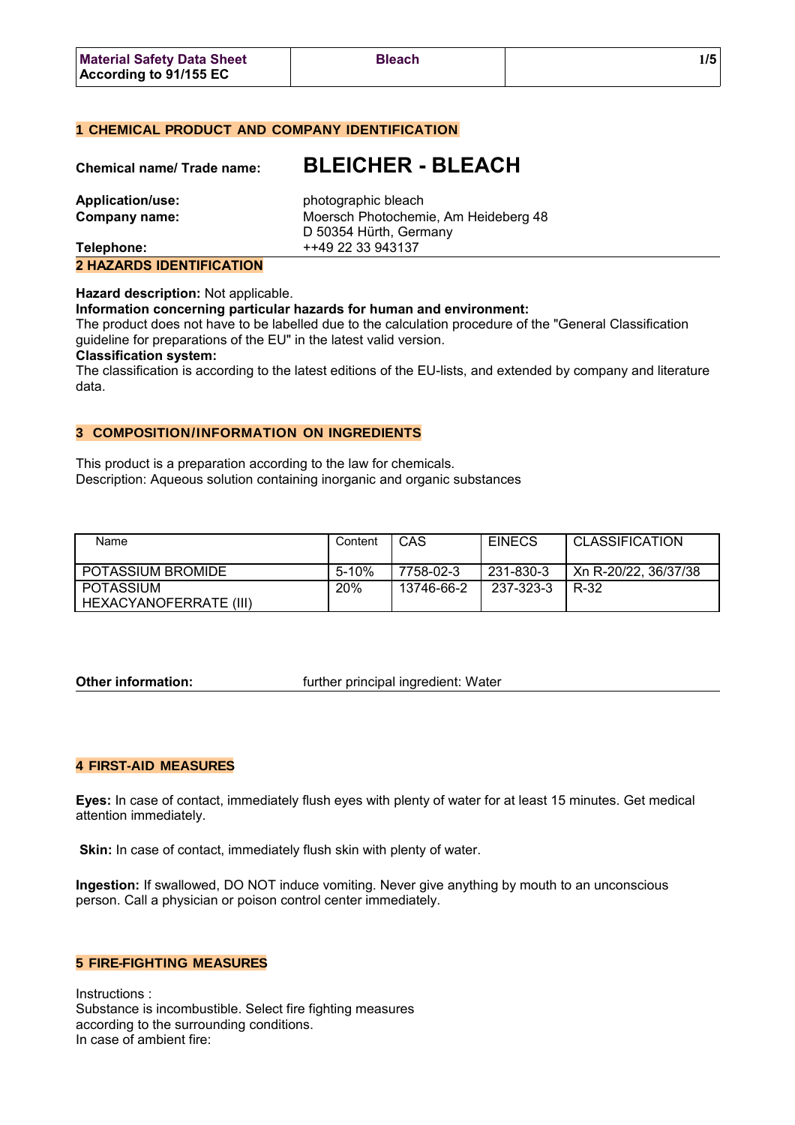# **1 CHEMICAL PRODUCT AND COMPANY IDENTIFICATION**

| <b>Chemical name/ Trade name:</b> | <b>BLEICHER - BLEACH</b>                                       |
|-----------------------------------|----------------------------------------------------------------|
| <b>Application/use:</b>           | photographic bleach                                            |
| Company name:                     | Moersch Photochemie, Am Heideberg 48<br>D 50354 Hürth, Germany |
| Telephone:                        | ++49 22 33 943137                                              |

**2 HAZARDS IDENTIFICATION**

#### **Hazard description:** Not applicable.

#### **Information concerning particular hazards for human and environment:**

The product does not have to be labelled due to the calculation procedure of the "General Classification guideline for preparations of the EU" in the latest valid version.

#### **Classification system:**

The classification is according to the latest editions of the EU-lists, and extended by company and literature data.

## **3 COMPOSITION/INFORMATION ON INGREDIENTS**

This product is a preparation according to the law for chemicals. Description: Aqueous solution containing inorganic and organic substances

| Name                   | Content | CAS        | <b>EINECS</b> | <b>CLASSIFICATION</b> |
|------------------------|---------|------------|---------------|-----------------------|
|                        |         |            |               |                       |
| POTASSIUM BROMIDE      | 5-10%   | 7758-02-3  | 231-830-3     | Xn R-20/22, 36/37/38  |
| POTASSIUM              | 20%     | 13746-66-2 | 237-323-3     | R-32                  |
| HEXACYANOFERRATE (III) |         |            |               |                       |

**Other information:** *CHEREFEREER (STEERE)* further principal ingredient: Water

### **4 FIRST-AID MEASURES**

**Eyes:** In case of contact, immediately flush eyes with plenty of water for at least 15 minutes. Get medical attention immediately.

**Skin:** In case of contact, immediately flush skin with plenty of water.

**Ingestion:** If swallowed, DO NOT induce vomiting. Never give anything by mouth to an unconscious person. Call a physician or poison control center immediately.

### **5 FIRE-FIGHTING MEASURES**

Instructions : Substance is incombustible. Select fire fighting measures according to the surrounding conditions. In case of ambient fire: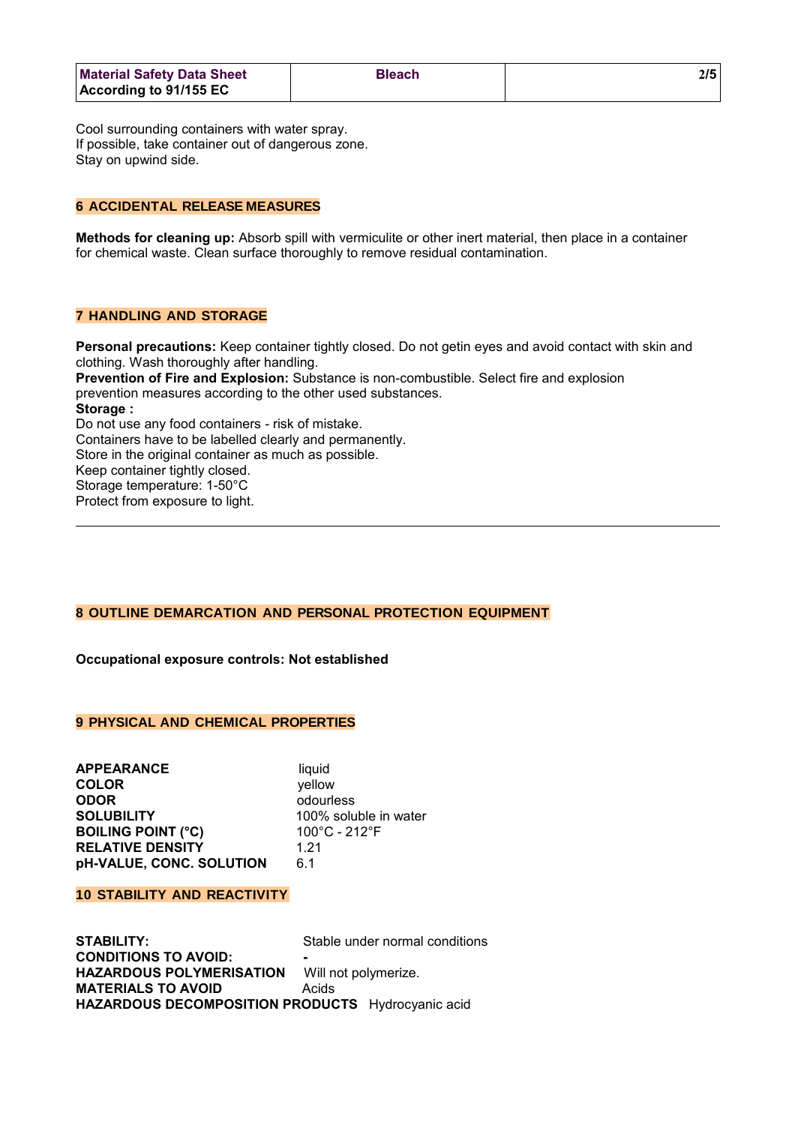| <b>Material Safety Data Sheet</b> | <b>Bleach</b> |  |
|-----------------------------------|---------------|--|
| According to $91/155$ EC          |               |  |

Cool surrounding containers with water spray. If possible, take container out of dangerous zone. Stay on upwind side.

### **6 ACCIDENTAL RELEASE MEASURES**

**Methods for cleaning up:** Absorb spill with vermiculite or other inert material, then place in a container for chemical waste. Clean surface thoroughly to remove residual contamination.

# **7 HANDLING AND STORAGE**

**Personal precautions:** Keep container tightly closed. Do not getin eyes and avoid contact with skin and clothing. Wash thoroughly after handling. **Prevention of Fire and Explosion:** Substance is non-combustible. Select fire and explosion prevention measures according to the other used substances. **Storage :** Do not use any food containers - risk of mistake. Containers have to be labelled clearly and permanently. Store in the original container as much as possible. Keep container tightly closed. Storage temperature: 1-50°C Protect from exposure to light.

## **8 OUTLINE DEMARCATION AND PERSONAL PROTECTION EQUIPMENT**

**Occupational exposure controls: Not established**

# **9 PHYSICAL AND CHEMICAL PROPERTIES**

**APPEARANCE** liquid **COLOR** yellow **ODOR** odourless **SOLUBILITY** 100% soluble in water **BOILING POINT (°C)** 100°C - 212°F **RELATIVE DENSITY** 1.21 **pH-VALUE, CONC. SOLUTION** 6.1

#### **10 STABILITY AND REACTIVITY**

**STABILITY:** Stable under normal conditions **CONDITIONS TO AVOID: - HAZARDOUS POLYMERISATION** Will not polymerize. **MATERIALS TO AVOID** Acids **HAZARDOUS DECOMPOSITION PRODUCTS** Hydrocyanic acid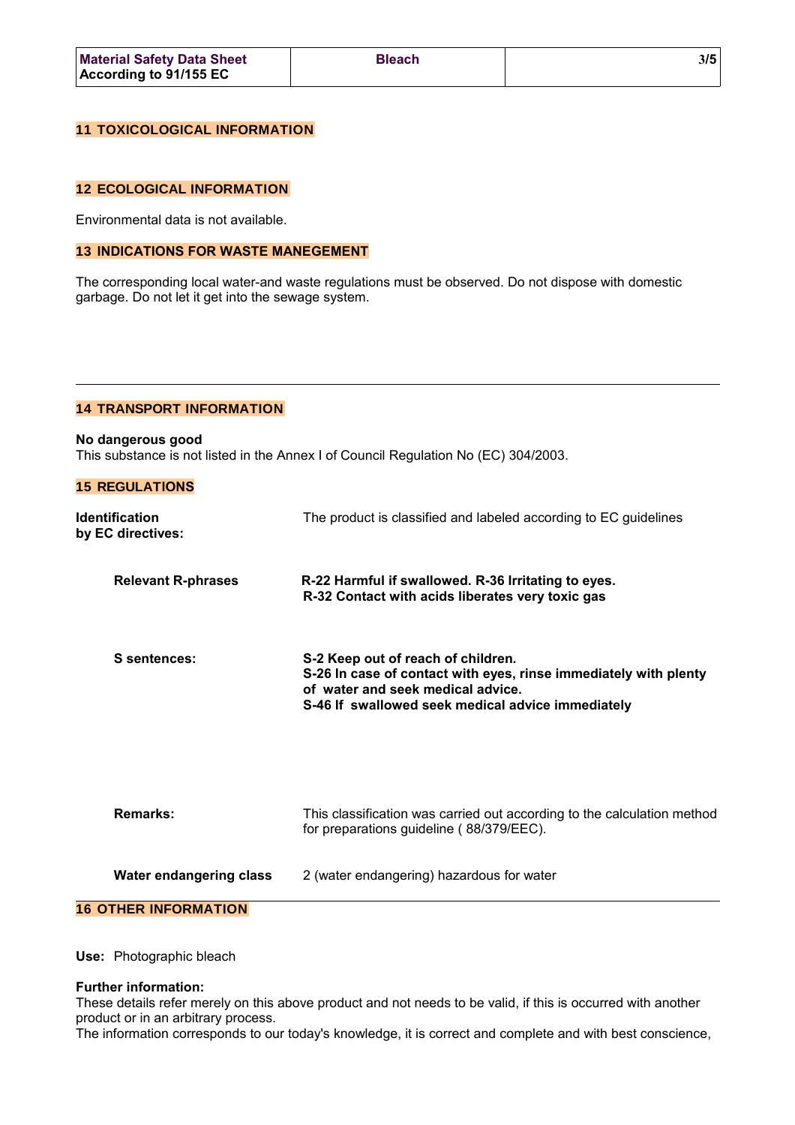| <b>Material Safety Data Sheet</b> | <b>Bleach</b> |  |
|-----------------------------------|---------------|--|
| According to 91/155 EC            |               |  |

## **11 TOXICOLOGICAL INFORMATION**

### **12 ECOLOGICAL INFORMATION**

Environmental data is not available.

#### **13 INDICATIONS FOR WASTE MANEGEMENT**

The corresponding local water-and waste regulations must be observed. Do not dispose with domestic garbage. Do not let it get into the sewage system.

# **14 TRANSPORT INFORMATION**

**No dangerous good** This substance is not listed in the Annex I of Council Regulation No (EC) 304/2003.

|  | <b>IS REUULATIUNS</b> |  |  |
|--|-----------------------|--|--|
|  |                       |  |  |
|  |                       |  |  |

**15 REGULATIONS**

| <b>Identification</b><br>by EC directives: | The product is classified and labeled according to EC guidelines                                                                                                                                 |
|--------------------------------------------|--------------------------------------------------------------------------------------------------------------------------------------------------------------------------------------------------|
| <b>Relevant R-phrases</b>                  | R-22 Harmful if swallowed. R-36 Irritating to eyes.<br>R-32 Contact with acids liberates very toxic gas                                                                                          |
| S sentences:                               | S-2 Keep out of reach of children.<br>S-26 In case of contact with eyes, rinse immediately with plenty<br>of water and seek medical advice.<br>S-46 If swallowed seek medical advice immediately |
| <b>Remarks:</b>                            | This classification was carried out according to the calculation method<br>for preparations guideline (88/379/EEC).                                                                              |
| Water endangering class                    | 2 (water endangering) hazardous for water                                                                                                                                                        |
| <b>16 OTHER INFORMATION</b>                |                                                                                                                                                                                                  |

**Use:** Photographic bleach

## **Further information:**

These details refer merely on this above product and not needs to be valid, if this is occurred with another product or in an arbitrary process.

The information corresponds to our today's knowledge, it is correct and complete and with best conscience,